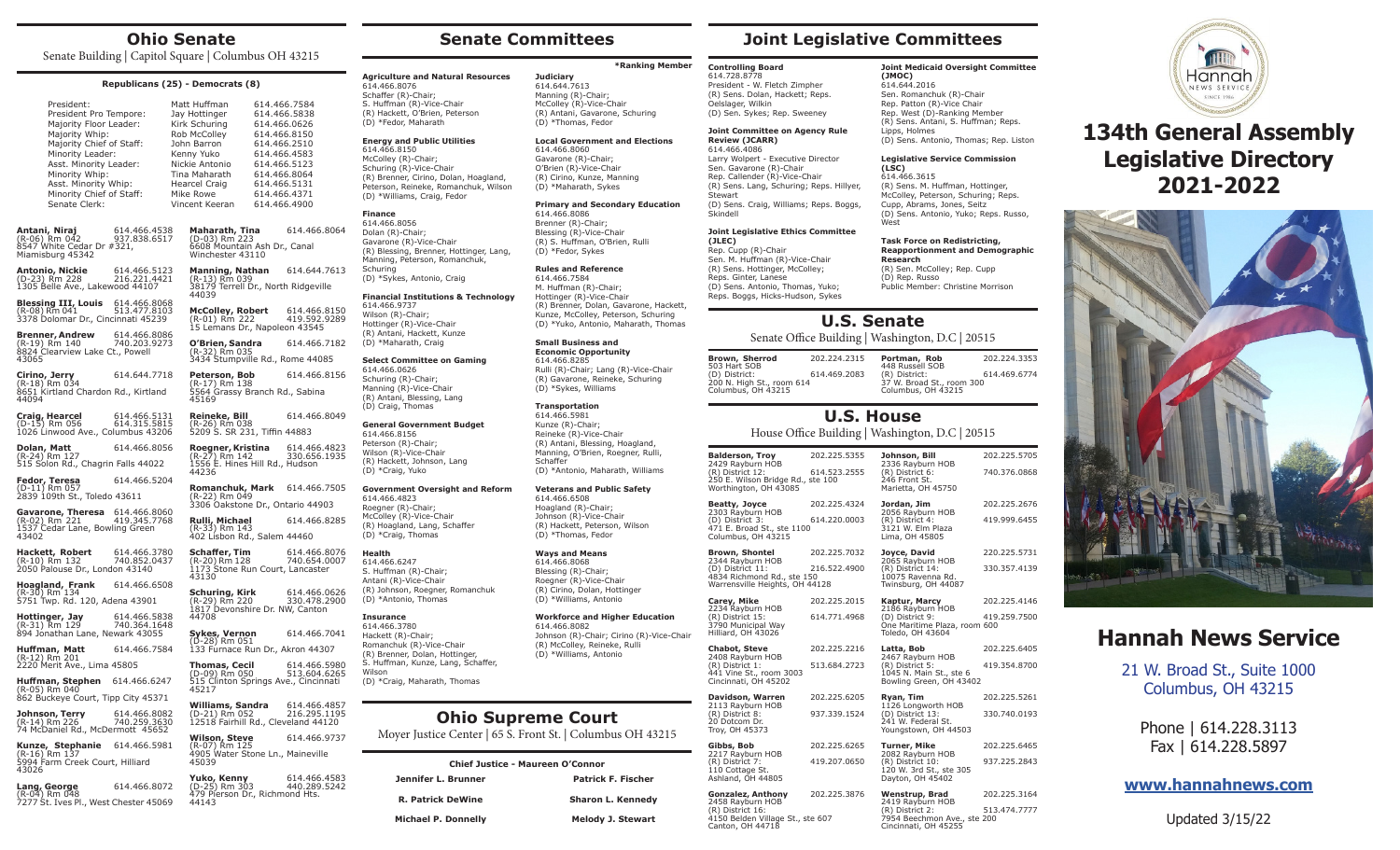## **Ohio Senate**

Senate Building | Capitol Square | Columbus OH 43215

| Republicans (25) - Democrats (8)                                                                                                                                                                                                                  |                              |  |                                                                                                                                                                                       |                                                                                                                                                                              |                              |
|---------------------------------------------------------------------------------------------------------------------------------------------------------------------------------------------------------------------------------------------------|------------------------------|--|---------------------------------------------------------------------------------------------------------------------------------------------------------------------------------------|------------------------------------------------------------------------------------------------------------------------------------------------------------------------------|------------------------------|
| President:<br>President Pro Tempore:<br>Majority Floor Leader:<br>Majority Whip:<br>Majority Chief of Staff:<br>Minority Leader:<br>Asst. Minority Leader:<br>Minority Whip:<br>Asst. Minority Whip:<br>Minority Chief of Staff:<br>Senate Clerk: |                              |  | Matt Huffman<br>Jay Hottinger<br>Kirk Schuring<br>Rob McColley<br>John Barron<br>Kenny Yuko<br>Nickie Antonio<br>Tina Maharath<br><b>Hearcel Craig</b><br>Mike Rowe<br>Vincent Keeran | 614.466.7584<br>614.466.5838<br>614.466.0626<br>614.466.8150<br>614.466.2510<br>614.466.4583<br>614.466.5123<br>614.466.8064<br>614.466.5131<br>614.466.4371<br>614.466.4900 |                              |
| Antani, Niraj<br>(R-06) Rm 042 937.8<br>8547 White Cedar Dr #321,<br>Miamisburg 45342                                                                                                                                                             | 614.466.4538<br>937.838.6517 |  | Maharath, Tina<br>(D-03) Rm 223<br>6608 Mountain Ash Dr., Canal<br>Winchester 43110                                                                                                   |                                                                                                                                                                              | 614.466.8064                 |
| Antonio, Nickie<br>(D-23) Rm 228<br>1305 Belle Ave., Lakewood 44107                                                                                                                                                                               | 614.466.5123<br>216.221.4421 |  | <b>Manning, Nathan</b> 614.644.7613<br>(R-13) Rm 039<br>38179 Terrell Dr., North Ridgeville<br>44039                                                                                  |                                                                                                                                                                              |                              |
| <b>Blessing III, Louis</b> 614.466.8068<br>(R-08) Rm 041 513.477.810.<br>3378 Dolomar Dr., Cincinnati 45239                                                                                                                                       | 513.477.8103                 |  | <b>McColley, Robert</b><br>(R-01) Rm 222<br>15 Lemans Dr., Napoleon 43545                                                                                                             |                                                                                                                                                                              | 614.466.8150<br>419.592.9289 |
| <b>Brenner, Andrew</b><br>(R-19) Rm 140<br>8824 Clearview Lake Ct., Powell<br>43065                                                                                                                                                               | 614.466.8086<br>740.203.9273 |  | O'Brien, Sandra<br>(R-32) Rm 035<br>3434 Stumpville Rd., Rome 44085                                                                                                                   |                                                                                                                                                                              | 614.466.7182                 |
| Cirino, Jerry<br>(R-18) Rm 034<br>8651 Kirtland Chardon Rd., Kirtland<br>44094                                                                                                                                                                    | 614.644.7718                 |  | Peterson, Bob<br>(R-17) Rm 138<br>5564 Grassy Branch Rd., Sabina<br>45169                                                                                                             |                                                                                                                                                                              | 614.466.8156                 |
| <b>Craig, Hearcel</b> 614.466.5131<br>(D-15) Rm 056 614.315.5815<br>1026 Linwood Ave., Columbus 43206                                                                                                                                             |                              |  | Reineke, Bill<br>(R-26) Rm 038<br>5209 S. SR 231, Tiffin 44883                                                                                                                        |                                                                                                                                                                              | 614.466.8049                 |
| <b>Dolan, Matt</b><br>(R-24) Rm 127<br>515 Solon Rd., Chagrin Falls 44022                                                                                                                                                                         | 614.466.8056                 |  | Roegner, Kristina<br>(b. 37) Pm 142<br>(R-27) Rm 142<br>1556 E. Hines Hill Rd., Hudson<br>44236                                                                                       |                                                                                                                                                                              | 614.466.4823<br>330.656.1935 |
| <b>Fedor, Teresa</b> 614.46<br>(D-11) Rm 057<br>2839 109th St., Toledo 43611                                                                                                                                                                      | 614.466.5204                 |  | <b>Romanchuk, Mark</b> 614.466.7505 (R-22) Rm 049<br>3306 Oakstone Dr., Ontario 44903                                                                                                 |                                                                                                                                                                              |                              |
| Gavarone, Theresa 614.466.8060<br>(R-02) Rm 221<br>1537 Cedar Lane, Bowling Green<br>43402                                                                                                                                                        | 419.345.7768                 |  | Rulli, Michael<br>(R-33) Rm 143<br>402 Lisbon Rd., Salem 44460                                                                                                                        |                                                                                                                                                                              | 614.466.8285                 |
| Hackett, Robert<br>(R-10) Rm 132<br>2050 Palouse Dr., London 43140                                                                                                                                                                                | 614.466.3780<br>740.852.0437 |  | <b>Schaffer, Tim</b><br>(R-20) Rm 128<br>1173 Stone Run Court, Lancaster                                                                                                              |                                                                                                                                                                              | 614.466.8076<br>740.654.0007 |

**Schuring, Kirk** 614.466.0626<br>(R-29) Rm 220 330.478.2900 (R-29) Rm 220 330.478.2900 1817 Devonshire Dr. NW, Canton

(D-28) Rm 051 133 Furnace Run Dr., Akron 44307 **Thomas, Cecil** 614.466.5980<br>(D-09) Rm 050 513.604.6265

515 Clinton Springs Ave., Cincinnati 45217 **Williams, Sandra** 614.466.4857<br>(D-21) Rm 052 216.295.1195<br>12518 Fairhill Rd., Cleveland 44120 (D-21) Rm 052 216.295.1195 12518 Fairhill Rd., Cleveland 44120 **Wilson, Steve** 614.466.9737<br>(R-07) Rm 125 4905 Water Stone Ln., Maineville

**Yuko, Kenny** 614.466.4583<br>(D-25) Rm 303 440.289.5242

479 Pierson Dr., Richmond Hts.

(D-09) Rm 050

(D-25) Rm 303

45039

44143

**Hackett, Robert** 614.466.3780 (R-10) Rm 132 740.852.0437 2050 Palouse Dr., London 43140 43130

**Hoagland, Frank** 614.466.6508 (R-30) Rm 134 5751 Twp. Rd. 120, Adena 43901

**Hottinger, Jay**<br>(R-31) Rm 129 614.466.583<br>740.364.1648<br>Newark 43055 894 Jónathan Lane, 44708 **Sykes, Vernon** 614.466.7041

**Huffman, Matt** 614.466.7584 (R-12) Rm 201 2220 Merit Ave., Lima 45805

**Huffman, Stephen** 614.466.6247 (R-05) Rm 040 862 Buckeye Court, Tipp City 45371

**Johnson, Terry** 614.466.8082<br>(R-14) Rm 226 740.259.3630 74 McDaniel Rd., McDermott 45652

**Kunze, Stephanie** 614.466.5981 (R-16) Rm 137 5994 Farm Creek Court, Hilliard 43026

**Lang, George** 614.466.8072 (R-04) Rm 048 7277 St. Ives Pl., West Chester 45069

# **Senate Committees**

**Agriculture and Natural Resources**

614.466.8076 Schaffer (R)-Chair; S. Huffman (R)-Vice-Chair (R) Hackett, O'Brien, Peterson (D) \*Fedor, Maharath **Energy and Public Utilities**

614.466.8150 McColley (R)-Chair; Schuring (R)-Vice-Chair (R) Brenner, Cirino, Dolan, Hoagland, Peterson, Reineke, Romanchuk, Wilson (D) \*Williams, Craig, Fedor

**Finance** 614.466.8056 Dolan (R)-Chair; Gavarone (R)-Vice-Chair (R) Blessing, Brenner, Hottinger, Lang, Manning, Peterson, Romanchuk,

Schuring

614.466.9737 Wilson (R)-Chair; Hottinger (R)-Vice-Chair (R) Antani, Hackett, Kunze (D) \*Maharath, Craig **Select Committee on Gaming**

614.466.0626 Schuring (R)-Chair; Manning (R)-Vice-Chair (R) Antani, Blessing, Lang (D) Craig, Thomas

614.466.8156 Peterson (R)-Chair; Wilson (R)-Vice-Chair (R) Hackett, Johnson, Lang (D) \*Craig, Yuko

614.466.4823 Roegner (R)-Chair; McColley (R)-Vice-Chair (R) Hoagland, Lang, Schaffer (D) \*Craig, Thomas

**Health** 614.466.6247 S. Huffman (R)-Chair; Antani (R)-Vice-Chair (R) Johnson, Roegner, Romanchuk (D) \*Antonio, Thomas

**Insurance** 614.466.3780 Hackett (R)-Chair; Romanchuk (R)-Vice-Chair (R) Brenner, Dolan, Hottinger, S. Huffman, Kunze, Lang, Schaffer,

**Wilson** 

(D) \*Craig, Maharath, Thomas

**Jen** 

(D) \*Sykes, Antonio, Craig

**General Government Budget**

**Financial Institutions & Technology**

## **\*Ranking Member**

**Judiciary** 614.644.7613 Manning (R)-Chair; McColley (R)-Vice-Chair (R) Antani, Gavarone, Schuring (D) \*Thomas, Fedor

#### **Local Government and Elections** 614.466.8060

Gavarone (R)-Chair; O'Brien (R)-Vice-Chair (R) Cirino, Kunze, Manning (D) \*Maharath, Sykes **Primary and Secondary Education**

614.466.8086 Brenner (R)-Chair; Blessing (R)-Vice-Chair (R) S. Huffman, O'Brien, Rulli

#### **Rules and Reference**

(D) \*Fedor, Sykes

614.466.7584 M. Huffman (R)-Chair; Hottinger (R)-Vice-Chair (R) Brenner, Dolan, Gavarone, Hackett, Kunze, McColley, Peterson, Schuring (D) \*Yuko, Antonio, Maharath, Thomas

**Small Business and Economic Opportunity** 614.466.8285 Rulli (R)-Chair; Lang (R)-Vice-Chair (R) Gavarone, Reineke, Schuring (D) \*Sykes, Williams

(R) Antani, Blessing, Hoagland, Manning, O'Brien, Roegner, Rulli,

**Veterans and Public Safety** 614.466.6508 Hoagland (R)-Chair; Johnson (R)-Vice-Chair (R) Hackett, Peterson, Wilson

614.466.8082 Johnson (R)-Chair; Cirino (R)-Vice-Chair (R) McColley, Reineke, Rulli (D) \*Williams, Antonio

# **Ohio Supreme Court**

Moyer Justice Center | 65 S. Front St. | Columbus OH 43215

| <b>Chief Justice - Maureen O'Connor</b> |                           |  |  |
|-----------------------------------------|---------------------------|--|--|
| Jennifer L. Brunner                     | <b>Patrick F. Fischer</b> |  |  |
| <b>R. Patrick DeWine</b>                | <b>Sharon L. Kennedy</b>  |  |  |
| <b>Michael P. Donnelly</b>              | Melody J. Stewart         |  |  |

# **Joint Legislative Committees**

**(JMOC)** 614.644.2016 Sen. Romanchuk (R)-Chair Rep. Patton (R)-Vice Chair Rep. West (D)-Ranking Member (R) Sens. Antani, S. Huffman; Reps.

**(LSC)**  614.466.3615

West

**Research**

(D) Rep. Russo

Lipps, Holmes

**Controlling Board** 614.728.8778 President - W. Fletch Zimpher (R) Sens. Dolan, Hackett; Reps. Oelslager, Wilkin (D) Sen. Sykes; Rep. Sweeney

#### **Joint Committee on Agency Rule Review (JCARR)**

614.466.4086 Larry Wolpert - Executive Director Sen. Gavarone (R)-Chair Rep. Callender (R)-Vice-Chair (R) Sens. Lang, Schuring; Reps. Hillyer, **Stewart** (D) Sens. Craig, Williams; Reps. Boggs, Skindell

## **Joint Legislative Ethics Committee**

**(JLEC)** Rep. Cupp (R)-Chair Sen. M. Huffman (R)-Vice-Chair (R) Sens. Hottinger, McColley; Reps. Ginter, Lanese (D) Sens. Antonio, Thomas, Yuko; Reps. Boggs, Hicks-Hudson, Sykes

# **U.S. Senate**

## Senate Office Building | Washington, D.C | 20515

**Brown, Sherrod** 202.224.2315 503 Hart SOB<br>(D) District: 614.469.2083 200 N. High St., room 614 Columbus, OH 43215

(R) District 8: 937.339.1524

**Gibbs, Bob** 202.225.6265

(R) District 7: 419.207.0650 110 Cottage St.

**Gonzalez, Anthony** 202.225.3876

4150 Belden Village St., ste 607 Canton, OH 44718

20 Dotcom Dr. Troy, OH 45373

2217 Rayburn HOB

Ashland, OH 44805

2458 Rayburn HOB (R) District 16:

**Portman, Rob** 202.224.3353 448 Russell SOB<br>(R) District: (R) District: 614.469.6774 37 W. Broad St., room 300 Columbus, OH 43215

**Joint Medicaid Oversight Committee** 

(D) Sens. Antonio, Thomas; Rep. Liston **Legislative Service Commission** 

(R) Sens. M. Huffman, Hottinger, McColley, Peterson, Schuring; Reps. Cupp, Abrams, Jones, Seitz (D) Sens. Antonio, Yuko; Reps. Russo,

**Task Force on Redistricting, Reapportionment and Demographic**

(R) Sen. McColley; Rep. Cupp

Public Member: Christine Morrison

# **U.S. House**

House Office Building | Washington, D.C | 20515

| <b>Balderson, Troy</b>                                                                               | 202.225.5355 | Johnson, Bill                                                              | 202.225.5705 |
|------------------------------------------------------------------------------------------------------|--------------|----------------------------------------------------------------------------|--------------|
| 2429 Rayburn HOB<br>(R) District 12:<br>250 E. Wilson Bridge Rd., ste 100<br>Worthington, OH 43085   | 614.523.2555 | 2336 Rayburn HOB<br>(R) District 6:<br>246 Front St.<br>Marietta, OH 45750 | 740.376.0868 |
| Beatty, Joyce                                                                                        | 202.225.4324 | Jordan, Jim                                                                | 202.225.2676 |
| 2303 Rayburn HOB<br>(D) District 3:<br>471 E. Broad St., ste 1100<br>Columbus, OH 43215              | 614.220.0003 | 2056 Rayburn HOB<br>(R) District 4:<br>3121 W. Elm Plaza<br>Lima, OH 45805 | 419.999.6455 |
| <b>Brown, Shontel</b>                                                                                | 202.225.7032 | Joyce, David<br>2065 Rayburn HOB                                           | 220.225.5731 |
| 2344 Rayburn HOB<br>(D) District 11:<br>4834 Richmond Rd., ste 150<br>Warrensville Heights, OH 44128 | 216.522.4900 | (R) District 14:<br>10075 Ravenna Rd.<br>Twinsburg, OH 44087               | 330.357.4139 |
| Carey, Mike<br>2234 Rayburn HOB                                                                      | 202.225.2015 | Kaptur, Marcy<br>2186 Rayburn HOB                                          | 202.225.4146 |
| (R) District 15:<br>3790 Municipal Way<br>Hilliard, OH 43026                                         | 614.771.4968 | (D) District 9:<br>One Maritime Plaza, room 600<br>Toledo, OH 43604        | 419.259.7500 |
| <b>Chabot, Steve</b>                                                                                 | 202.225.2216 | Latta, Bob<br>2467 Rayburn HOB                                             | 202.225.6405 |
| 2408 Rayburn HOB<br>(R) District 1:<br>441 Vine St., room 3003<br>Cincinnati, OH 45202               | 513.684.2723 | (R) District 5:<br>1045 N. Main St., ste 6<br>Bowling Green, OH 43402      | 419.354.8700 |

**Davidson, Warren** 202.225.6205<br>2113 Rayburn HOB **Ryan, Tim** 202.225.5261 1126 Longworth HOB (D) District 13: 330.740.0193 241 W. Federal St. Youngstown, OH 44503

> **Turner, Mike** 202.225.6465 2082 Rayburn HOB (R) District 10: 937.225.2843 120 W. 3rd St., ste 305 Dayton, OH 45402

| Wenstrup, Brad                                      | 202.225.3164 |
|-----------------------------------------------------|--------------|
| 2419 Rayburn HOB<br>(R) District 2:                 | 513.474.7777 |
| 7954 Beechmon Ave., ste 200<br>Cincinnati, OH 45255 |              |



# **134th General Assembly Legislative Directory 2021-2022**



# **Hannah News Service**

21 W. Broad St., Suite 1000 Columbus, OH 43215

> Phone | 614.228.3113 Fax | 614.228.5897

**www.hannahnews.com**

Updated 3/15/22

**Government Oversight and Reform Transportation** 614.466.5981 Kunze (R)-Chair; Reineke (R)-Vice-Chair Schaffer (D) \*Antonio, Maharath, Williams

(D) \*Thomas, Fedor

**Ways and Means**  614.466.8068 Blessing (R)-Chair; Roegner (R)-Vice-Chair (R) Cirino, Dolan, Hottinger (D) \*Williams, Antonio

**Workforce and Higher Education**